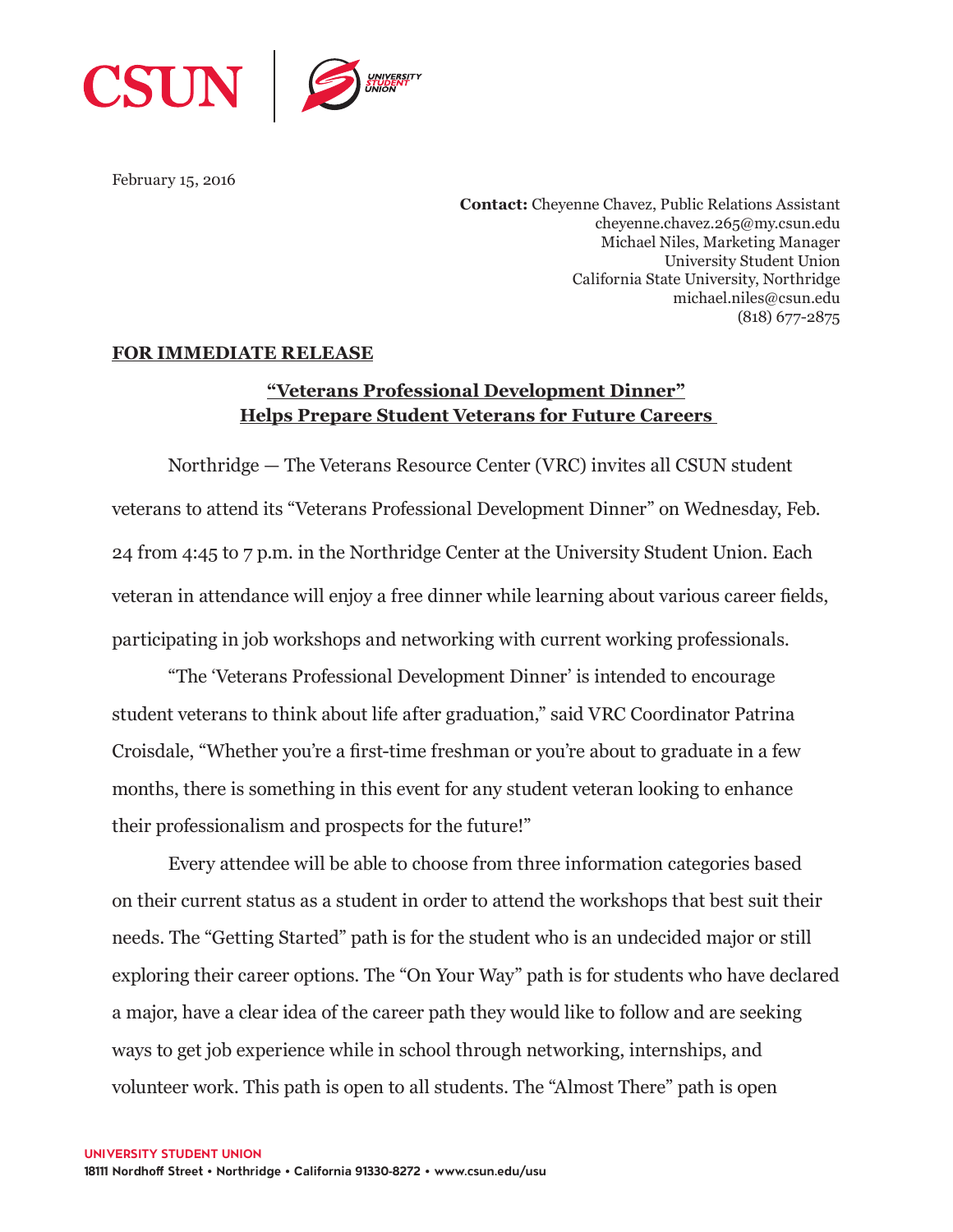

February 15, 2016

**Contact:** Cheyenne Chavez, Public Relations Assistant cheyenne.chavez.265@my.csun.edu Michael Niles, Marketing Manager University Student Union California State University, Northridge michael.niles@csun.edu (818) 677-2875

## **FOR IMMEDIATE RELEASE**

## **"Veterans Professional Development Dinner" Helps Prepare Student Veterans for Future Careers**

Northridge — The Veterans Resource Center (VRC) invites all CSUN student veterans to attend its "Veterans Professional Development Dinner" on Wednesday, Feb. 24 from 4:45 to 7 p.m. in the Northridge Center at the University Student Union. Each veteran in attendance will enjoy a free dinner while learning about various career fields, participating in job workshops and networking with current working professionals.

"The 'Veterans Professional Development Dinner' is intended to encourage student veterans to think about life after graduation," said VRC Coordinator Patrina Croisdale, "Whether you're a first-time freshman or you're about to graduate in a few months, there is something in this event for any student veteran looking to enhance their professionalism and prospects for the future!"

Every attendee will be able to choose from three information categories based on their current status as a student in order to attend the workshops that best suit their needs. The "Getting Started" path is for the student who is an undecided major or still exploring their career options. The "On Your Way" path is for students who have declared a major, have a clear idea of the career path they would like to follow and are seeking ways to get job experience while in school through networking, internships, and volunteer work. This path is open to all students. The "Almost There" path is open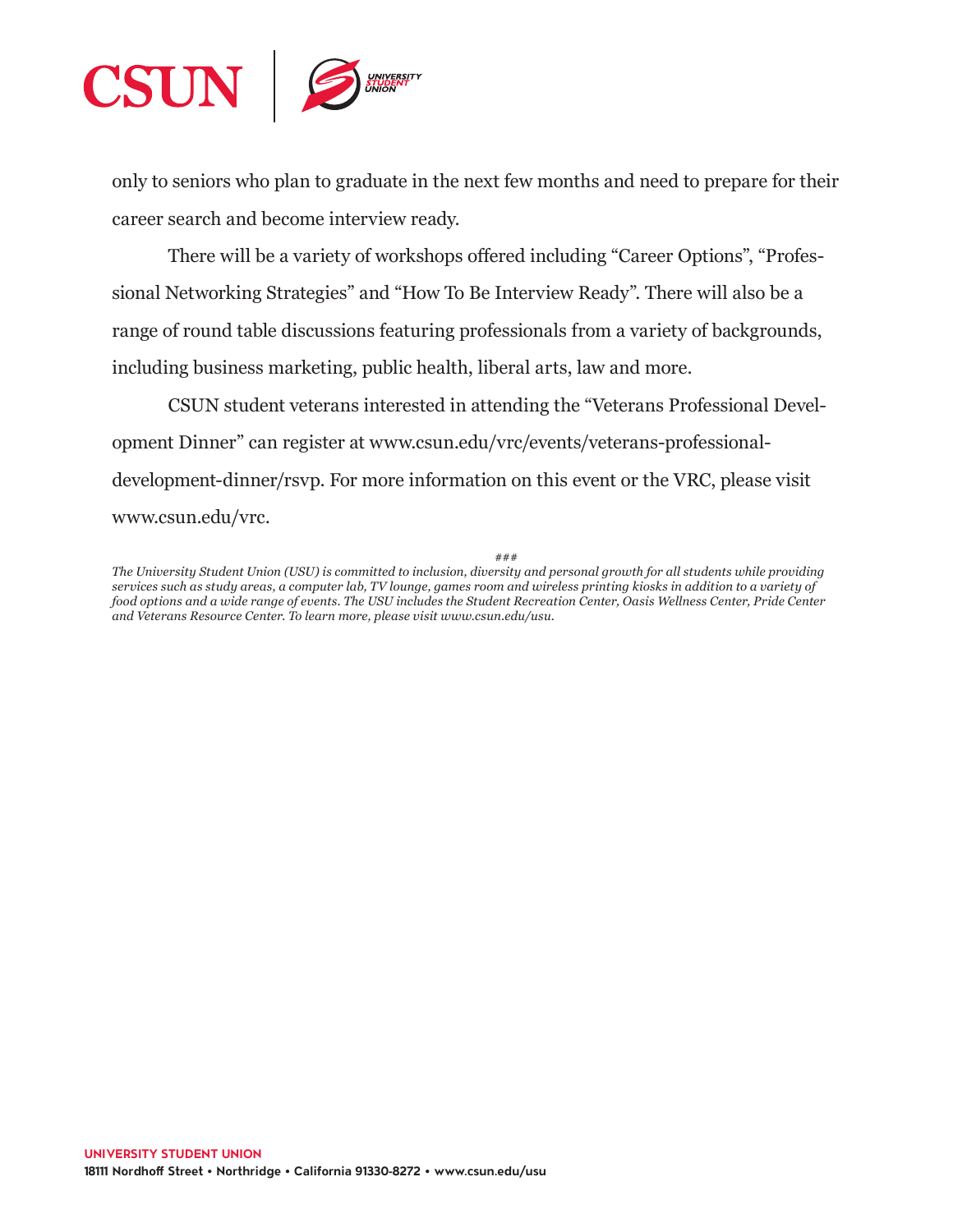

only to seniors who plan to graduate in the next few months and need to prepare for their career search and become interview ready.

There will be a variety of workshops offered including "Career Options", "Professional Networking Strategies" and "How To Be Interview Ready". There will also be a range of round table discussions featuring professionals from a variety of backgrounds, including business marketing, public health, liberal arts, law and more.

CSUN student veterans interested in attending the "Veterans Professional Development Dinner" can register at www.csun.edu/vrc/events/veterans-professionaldevelopment-dinner/rsvp. For more information on this event or the VRC, please visit www.csun.edu/vrc.

###

*The University Student Union (USU) is committed to inclusion, diversity and personal growth for all students while providing services such as study areas, a computer lab, TV lounge, games room and wireless printing kiosks in addition to a variety of food options and a wide range of events. The USU includes the Student Recreation Center, Oasis Wellness Center, Pride Center and Veterans Resource Center. To learn more, please visit www.csun.edu/usu.*